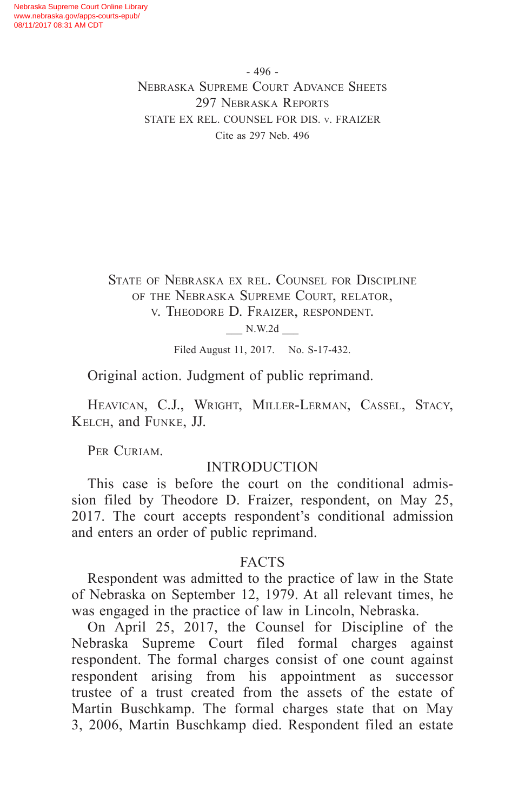- 496 - Nebraska Supreme Court Advance Sheets 297 NEBRASKA REPORTS STATE EX REL. COUNSEL FOR DIS. v. FRAIZER Cite as 297 Neb. 496

State of Nebraska ex rel. Counsel for Discipline of the Nebraska Supreme Court, relator, v. Theodore D. Fraizer, respondent.

\_\_\_ N.W.2d \_\_\_

Filed August 11, 2017. No. S-17-432.

Original action. Judgment of public reprimand.

HEAVICAN, C.J., WRIGHT, MILLER-LERMAN, CASSEL, STACY, Kelch, and Funke, JJ.

PER CURIAM.

#### INTRODUCTION

This case is before the court on the conditional admission filed by Theodore D. Fraizer, respondent, on May 25, 2017. The court accepts respondent's conditional admission and enters an order of public reprimand.

#### FACTS

Respondent was admitted to the practice of law in the State of Nebraska on September 12, 1979. At all relevant times, he was engaged in the practice of law in Lincoln, Nebraska.

On April 25, 2017, the Counsel for Discipline of the Nebraska Supreme Court filed formal charges against respondent. The formal charges consist of one count against respondent arising from his appointment as successor trustee of a trust created from the assets of the estate of Martin Buschkamp. The formal charges state that on May 3, 2006, Martin Buschkamp died. Respondent filed an estate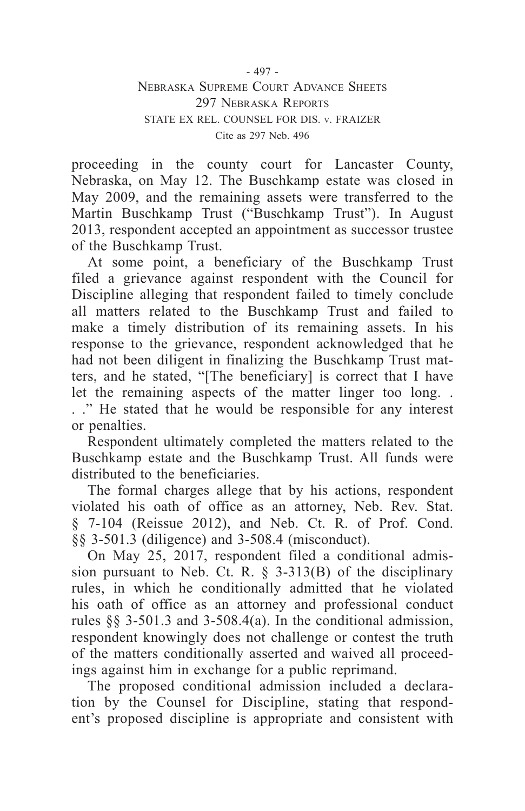proceeding in the county court for Lancaster County, Nebraska, on May 12. The Buschkamp estate was closed in May 2009, and the remaining assets were transferred to the Martin Buschkamp Trust ("Buschkamp Trust"). In August 2013, respondent accepted an appointment as successor trustee of the Buschkamp Trust.

At some point, a beneficiary of the Buschkamp Trust filed a grievance against respondent with the Council for Discipline alleging that respondent failed to timely conclude all matters related to the Buschkamp Trust and failed to make a timely distribution of its remaining assets. In his response to the grievance, respondent acknowledged that he had not been diligent in finalizing the Buschkamp Trust matters, and he stated, "[The beneficiary] is correct that I have let the remaining aspects of the matter linger too long. . . ." He stated that he would be responsible for any interest or penalties.

Respondent ultimately completed the matters related to the Buschkamp estate and the Buschkamp Trust. All funds were distributed to the beneficiaries.

The formal charges allege that by his actions, respondent violated his oath of office as an attorney, Neb. Rev. Stat. § 7-104 (Reissue 2012), and Neb. Ct. R. of Prof. Cond. §§ 3-501.3 (diligence) and 3-508.4 (misconduct).

On May 25, 2017, respondent filed a conditional admission pursuant to Neb. Ct. R. § 3-313(B) of the disciplinary rules, in which he conditionally admitted that he violated his oath of office as an attorney and professional conduct rules §§ 3-501.3 and 3-508.4(a). In the conditional admission, respondent knowingly does not challenge or contest the truth of the matters conditionally asserted and waived all proceedings against him in exchange for a public reprimand.

The proposed conditional admission included a declaration by the Counsel for Discipline, stating that respondent's proposed discipline is appropriate and consistent with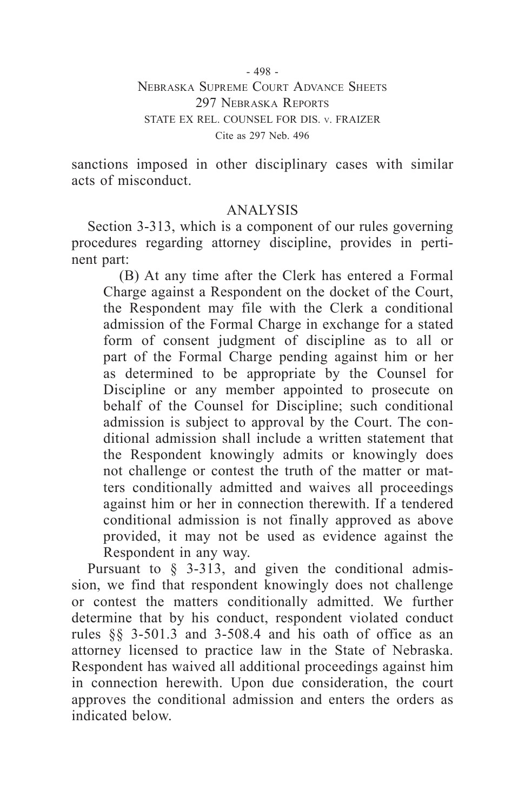- 498 - Nebraska Supreme Court Advance Sheets 297 NEBRASKA REPORTS STATE EX REL. COUNSEL FOR DIS. v. FRAIZER Cite as 297 Neb. 496

sanctions imposed in other disciplinary cases with similar acts of misconduct.

# ANALYSIS

Section 3-313, which is a component of our rules governing procedures regarding attorney discipline, provides in pertinent part:

(B) At any time after the Clerk has entered a Formal Charge against a Respondent on the docket of the Court, the Respondent may file with the Clerk a conditional admission of the Formal Charge in exchange for a stated form of consent judgment of discipline as to all or part of the Formal Charge pending against him or her as determined to be appropriate by the Counsel for Discipline or any member appointed to prosecute on behalf of the Counsel for Discipline; such conditional admission is subject to approval by the Court. The conditional admission shall include a written statement that the Respondent knowingly admits or knowingly does not challenge or contest the truth of the matter or matters conditionally admitted and waives all proceedings against him or her in connection therewith. If a tendered conditional admission is not finally approved as above provided, it may not be used as evidence against the Respondent in any way.

Pursuant to § 3-313, and given the conditional admission, we find that respondent knowingly does not challenge or contest the matters conditionally admitted. We further determine that by his conduct, respondent violated conduct rules §§ 3-501.3 and 3-508.4 and his oath of office as an attorney licensed to practice law in the State of Nebraska. Respondent has waived all additional proceedings against him in connection herewith. Upon due consideration, the court approves the conditional admission and enters the orders as indicated below.